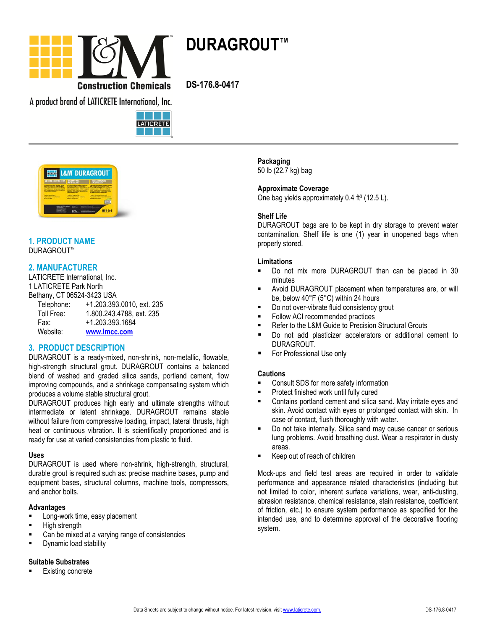

**DURAGROUT™**

**DS-176.8-0417**

A product brand of LATICRETE International, Inc.





#### **1. PRODUCT NAME** DURAGROUT™

# **2. MANUFACTURER**

LATICRETE International, Inc. 1 LATICRETE Park North

Bethany, CT 06524-3423 USA

| Telephone: | +1.203.393.0010, ext. 235 |
|------------|---------------------------|
| Toll Free: | 1.800.243.4788, ext. 235  |
| Fax:       | +1.203.393.1684           |
| Website:   | www.Imcc.com              |

### **3. PRODUCT DESCRIPTION**

DURAGROUT is a ready-mixed, non-shrink, non-metallic, flowable, high-strength structural grout. DURAGROUT contains a balanced blend of washed and graded silica sands, portland cement, flow improving compounds, and a shrinkage compensating system which produces a volume stable structural grout.

DURAGROUT produces high early and ultimate strengths without intermediate or latent shrinkage. DURAGROUT remains stable without failure from compressive loading, impact, lateral thrusts, high heat or continuous vibration. It is scientifically proportioned and is ready for use at varied consistencies from plastic to fluid.

#### **Uses**

DURAGROUT is used where non-shrink, high-strength, structural, durable grout is required such as: precise machine bases, pump and equipment bases, structural columns, machine tools, compressors, and anchor bolts.

#### **Advantages**

- Long-work time, easy placement
- High strength
- Can be mixed at a varying range of consistencies
- **Dynamic load stability**

#### **Suitable Substrates**

Existing concrete

**Packaging** 50 lb (22.7 kg) bag

**Approximate Coverage** One bag yields approximately 0.4 ft<sup>3</sup> (12.5 L).

### **Shelf Life**

DURAGROUT bags are to be kept in dry storage to prevent water contamination. Shelf life is one (1) year in unopened bags when properly stored.

### **Limitations**

- Do not mix more DURAGROUT than can be placed in 30 minutes
- Avoid DURAGROUT placement when temperatures are, or will be, below 40°F (5°C) within 24 hours
- Do not over-vibrate fluid consistency grout
- Follow ACI recommended practices
- Refer to the L&M Guide to Precision Structural Grouts
- Do not add plasticizer accelerators or additional cement to DURAGROUT.
- For Professional Use only

#### **Cautions**

- Consult SDS for more safety information
- Protect finished work until fully cured
- Contains portland cement and silica sand. May irritate eyes and skin. Avoid contact with eyes or prolonged contact with skin. In case of contact, flush thoroughly with water.
- Do not take internally. Silica sand may cause cancer or serious lung problems. Avoid breathing dust. Wear a respirator in dusty areas.
- Keep out of reach of children

Mock-ups and field test areas are required in order to validate performance and appearance related characteristics (including but not limited to color, inherent surface variations, wear, anti-dusting, abrasion resistance, chemical resistance, stain resistance, coefficient of friction, etc.) to ensure system performance as specified for the intended use, and to determine approval of the decorative flooring system.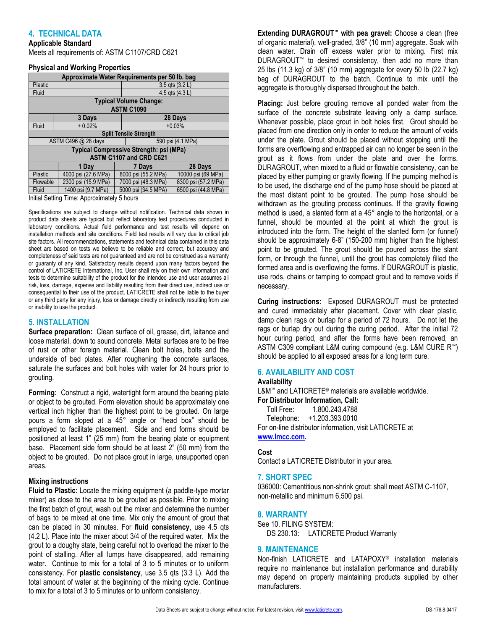## **4. TECHNICAL DATA**

# **Applicable Standard**

Meets all requirements of: ASTM C1107/CRD C621

#### **Physical and Working Properties**

| - סייכ                                        |                     |  |                     |                     |  |  |
|-----------------------------------------------|---------------------|--|---------------------|---------------------|--|--|
| Approximate Water Requirements per 50 lb. bag |                     |  |                     |                     |  |  |
| Plastic                                       |                     |  | $3.5$ qts $(3.2 L)$ |                     |  |  |
| Fluid                                         |                     |  | 4.5 gts $(4.3 L)$   |                     |  |  |
| <b>Typical Volume Change:</b>                 |                     |  |                     |                     |  |  |
| <b>ASTM C1090</b>                             |                     |  |                     |                     |  |  |
|                                               | 3 Days              |  | 28 Days             |                     |  |  |
| Fluid                                         | $+0.02%$            |  | $+0.03%$            |                     |  |  |
| <b>Split Tensile Strength</b>                 |                     |  |                     |                     |  |  |
| ASTM C496 @ 28 days                           |                     |  | 590 psi (4.1 MPa)   |                     |  |  |
| Typical Compressive Strength: psi (MPa)       |                     |  |                     |                     |  |  |
| <b>ASTM C1107 and CRD C621</b>                |                     |  |                     |                     |  |  |
|                                               | 1 Day               |  | 7 Days              | 28 Days             |  |  |
| Plastic                                       | 4000 psi (27.6 MPa) |  | 8000 psi (55.2 MPa) | 10000 psi (69 MPa)  |  |  |
| Flowable                                      | 2300 psi (15.9 MPa) |  | 7000 psi (48.3 MPa) | 8300 psi (57.2 MPa) |  |  |
| Fluid                                         | 1400 psi (9.7 MPa)  |  | 5000 psi (34.5 MPA) | 6500 psi (44.8 MPa) |  |  |
| Initial Setting Time: Approximately 5 hours   |                     |  |                     |                     |  |  |

Specifications are subject to change without notification. Technical data shown in product data sheets are typical but reflect laboratory test procedures conducted in laboratory conditions. Actual field performance and test results will depend on installation methods and site conditions. Field test results will vary due to critical job site factors. All recommendations, statements and technical data contained in this data sheet are based on tests we believe to be reliable and correct, but accuracy and completeness of said tests are not guaranteed and are not be construed as a warranty or guaranty of any kind. Satisfactory results depend upon many factors beyond the control of LATICRETE International, Inc. User shall rely on their own information and tests to determine suitability of the product for the intended use and user assumes all risk, loss, damage, expense and liability resulting from their direct use, indirect use or consequential to their use of the product. LATICRETE shall not be liable to the buyer or any third party for any injury, loss or damage directly or indirectly resulting from use or inability to use the product.

#### **5. INSTALLATION**

**Surface preparation:** Clean surface of oil, grease, dirt, laitance and loose material, down to sound concrete. Metal surfaces are to be free of rust or other foreign material. Clean bolt holes, bolts and the underside of bed plates. After roughening the concrete surfaces, saturate the surfaces and bolt holes with water for 24 hours prior to grouting.

**Forming:** Construct a rigid, watertight form around the bearing plate or object to be grouted. Form elevation should be approximately one vertical inch higher than the highest point to be grouted. On large pours a form sloped at a 45° angle or "head box" should be employed to facilitate placement. Side and end forms should be positioned at least 1" (25 mm) from the bearing plate or equipment base. Placement side form should be at least 2" (50 mm) from the object to be grouted. Do not place grout in large, unsupported open areas.

#### **Mixing instructions**

**Fluid to Plastic**: Locate the mixing equipment (a paddle-type mortar mixer) as close to the area to be grouted as possible. Prior to mixing the first batch of grout, wash out the mixer and determine the number of bags to be mixed at one time. Mix only the amount of grout that can be placed in 30 minutes. For **fluid consistency**, use 4.5 qts (4.2 L). Place into the mixer about 3/4 of the required water. Mix the grout to a doughy state, being careful not to overload the mixer to the point of stalling. After all lumps have disappeared, add remaining water. Continue to mix for a total of 3 to 5 minutes or to uniform consistency. For **plastic consistency**, use 3.5 qts (3.3 L). Add the total amount of water at the beginning of the mixing cycle. Continue to mix for a total of 3 to 5 minutes or to uniform consistency.

**Extending DURAGROUT™ with pea gravel:** Choose a clean (free of organic material), well-graded, 3/8" (10 mm) aggregate. Soak with clean water. Drain off excess water prior to mixing. First mix DURAGROUT™ to desired consistency, then add no more than 25 lbs (11.3 kg) of 3/8" (10 mm) aggregate for every 50 lb (22.7 kg) bag of DURAGROUT to the batch. Continue to mix until the aggregate is thoroughly dispersed throughout the batch.

**Placing:** Just before grouting remove all ponded water from the surface of the concrete substrate leaving only a damp surface. Whenever possible, place grout in bolt holes first. Grout should be placed from one direction only in order to reduce the amount of voids under the plate. Grout should be placed without stopping until the forms are overflowing and entrapped air can no longer be seen in the grout as it flows from under the plate and over the forms. DURAGROUT, when mixed to a fluid or flowable consistency, can be placed by either pumping or gravity flowing. If the pumping method is to be used, the discharge end of the pump hose should be placed at the most distant point to be grouted. The pump hose should be withdrawn as the grouting process continues. If the gravity flowing method is used, a slanted form at a 45° angle to the horizontal, or a funnel, should be mounted at the point at which the grout is introduced into the form. The height of the slanted form (or funnel) should be approximately 6-8" (150-200 mm) higher than the highest point to be grouted. The grout should be poured across the slant form, or through the funnel, until the grout has completely filled the formed area and is overflowing the forms. If DURAGROUT is plastic, use rods, chains or tamping to compact grout and to remove voids if necessary.

**Curing instructions**: Exposed DURAGROUT must be protected and cured immediately after placement. Cover with clear plastic, damp clean rags or burlap for a period of 72 hours. Do not let the rags or burlap dry out during the curing period. After the initial 72 hour curing period, and after the forms have been removed, an ASTM C309 compliant L&M curing compound (e.g. L&M CURE R™) should be applied to all exposed areas for a long term cure.

#### **6. AVAILABILITY AND COST**

#### **Availability**

L&M™ and LATICRETE® materials are available worldwide. **For Distributor Information, Call:** 

 Toll Free: 1.800.243.4788 Telephone: +1.203.393.0010 For on-line distributor information, visit LATICRETE at **[www.lmcc.com.](http://www.lmcc.com/)** 

#### **Cost**

Contact a LATICRETE Distributor in your area.

#### **7. SHORT SPEC**

036000: Cementitious non-shrink grout: shall meet ASTM C-1107, non-metallic and minimum 6,500 psi.

#### **8. WARRANTY**

See 10. FILING SYSTEM: DS 230.13: LATICRETE Product Warranty

### **9. MAINTENANCE**

Non-finish LATICRETE and LATAPOXY® installation materials require no maintenance but installation performance and durability may depend on properly maintaining products supplied by other manufacturers.